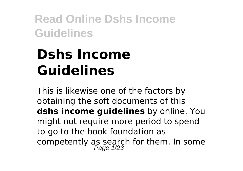# **Dshs Income Guidelines**

This is likewise one of the factors by obtaining the soft documents of this **dshs income guidelines** by online. You might not require more period to spend to go to the book foundation as competently as search for them. In some<br> $P_{\text{age 1/23}}$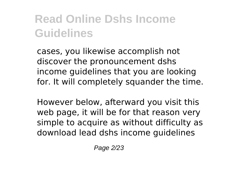cases, you likewise accomplish not discover the pronouncement dshs income guidelines that you are looking for. It will completely squander the time.

However below, afterward you visit this web page, it will be for that reason very simple to acquire as without difficulty as download lead dshs income guidelines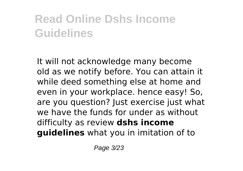It will not acknowledge many become old as we notify before. You can attain it while deed something else at home and even in your workplace. hence easy! So, are you question? Just exercise just what we have the funds for under as without difficulty as review **dshs income guidelines** what you in imitation of to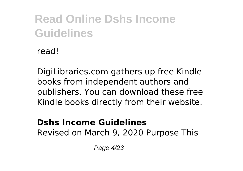read!

DigiLibraries.com gathers up free Kindle books from independent authors and publishers. You can download these free Kindle books directly from their website.

#### **Dshs Income Guidelines** Revised on March 9, 2020 Purpose This

Page 4/23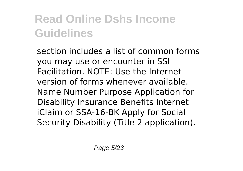section includes a list of common forms you may use or encounter in SSI Facilitation. NOTE: Use the Internet version of forms whenever available. Name Number Purpose Application for Disability Insurance Benefits Internet iClaim or SSA-16-BK Apply for Social Security Disability (Title 2 application).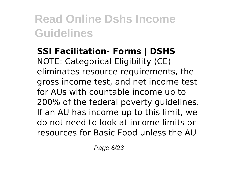**SSI Facilitation- Forms | DSHS** NOTE: Categorical Eligibility (CE) eliminates resource requirements, the gross income test, and net income test for AUs with countable income up to 200% of the federal poverty guidelines. If an AU has income up to this limit, we do not need to look at income limits or resources for Basic Food unless the AU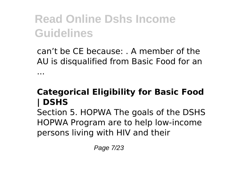can't be CE because: . A member of the AU is disqualified from Basic Food for an ...

### **Categorical Eligibility for Basic Food | DSHS**

Section 5. HOPWA The goals of the DSHS HOPWA Program are to help low-income persons living with HIV and their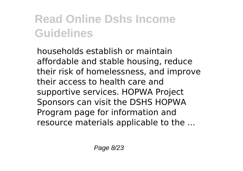households establish or maintain affordable and stable housing, reduce their risk of homelessness, and improve their access to health care and supportive services. HOPWA Project Sponsors can visit the DSHS HOPWA Program page for information and resource materials applicable to the ...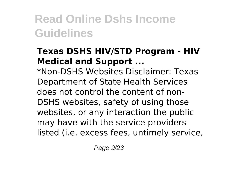#### **Texas DSHS HIV/STD Program - HIV Medical and Support ...**

\*Non-DSHS Websites Disclaimer: Texas Department of State Health Services does not control the content of non-DSHS websites, safety of using those websites, or any interaction the public may have with the service providers listed (i.e. excess fees, untimely service,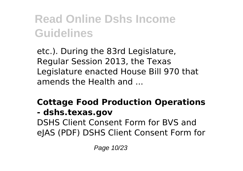etc.). During the 83rd Legislature, Regular Session 2013, the Texas Legislature enacted House Bill 970 that amends the Health and ...

### **Cottage Food Production Operations**

#### **- dshs.texas.gov**

DSHS Client Consent Form for BVS and eJAS (PDF) DSHS Client Consent Form for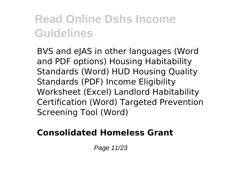BVS and eJAS in other languages (Word and PDF options) Housing Habitability Standards (Word) HUD Housing Quality Standards (PDF) Income Eligibility Worksheet (Excel) Landlord Habitability Certification (Word) Targeted Prevention Screening Tool (Word)

#### **Consolidated Homeless Grant**

Page 11/23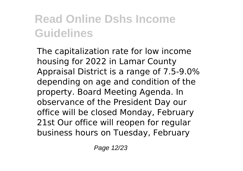The capitalization rate for low income housing for 2022 in Lamar County Appraisal District is a range of 7.5-9.0% depending on age and condition of the property. Board Meeting Agenda. In observance of the President Day our office will be closed Monday, February 21st Our office will reopen for regular business hours on Tuesday, February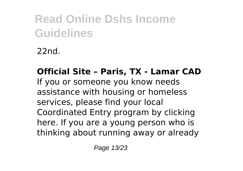22nd.

#### **Official Site – Paris, TX - Lamar CAD** If you or someone you know needs assistance with housing or homeless services, please find your local Coordinated Entry program by clicking here. If you are a young person who is thinking about running away or already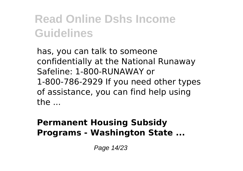has, you can talk to someone confidentially at the National Runaway Safeline: 1-800-RUNAWAY or 1-800-786-2929 If you need other types of assistance, you can find help using the ...

#### **Permanent Housing Subsidy Programs - Washington State ...**

Page 14/23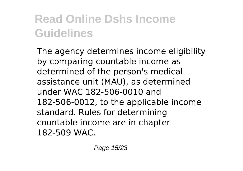The agency determines income eligibility by comparing countable income as determined of the person's medical assistance unit (MAU), as determined under WAC 182-506-0010 and 182-506-0012, to the applicable income standard. Rules for determining countable income are in chapter 182-509 WAC.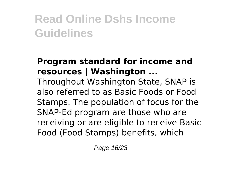### **Program standard for income and resources | Washington ...**

Throughout Washington State, SNAP is also referred to as Basic Foods or Food Stamps. The population of focus for the SNAP-Ed program are those who are receiving or are eligible to receive Basic Food (Food Stamps) benefits, which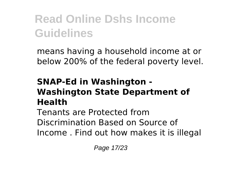means having a household income at or below 200% of the federal poverty level.

#### **SNAP-Ed in Washington - Washington State Department of Health**

Tenants are Protected from Discrimination Based on Source of Income . Find out how makes it is illegal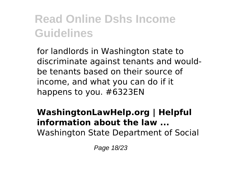for landlords in Washington state to discriminate against tenants and wouldbe tenants based on their source of income, and what you can do if it happens to you. #6323EN

#### **WashingtonLawHelp.org | Helpful information about the law ...** Washington State Department of Social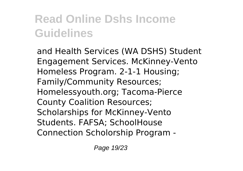and Health Services (WA DSHS) Student Engagement Services. McKinney-Vento Homeless Program. 2-1-1 Housing; Family/Community Resources; Homelessyouth.org; Tacoma-Pierce County Coalition Resources; Scholarships for McKinney-Vento Students. FAFSA; SchoolHouse Connection Scholorship Program -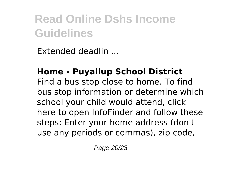Extended deadlin ...

### **Home - Puyallup School District**

Find a bus stop close to home. To find bus stop information or determine which school your child would attend, click here to open InfoFinder and follow these steps: Enter your home address (don't use any periods or commas), zip code,

Page 20/23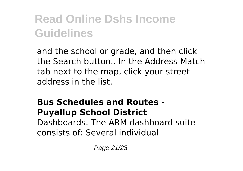and the school or grade, and then click the Search button.. In the Address Match tab next to the map, click your street address in the list.

#### **Bus Schedules and Routes - Puyallup School District** Dashboards. The ARM dashboard suite

consists of: Several individual

Page 21/23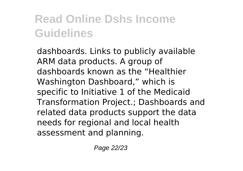dashboards. Links to publicly available ARM data products. A group of dashboards known as the "Healthier Washington Dashboard," which is specific to Initiative 1 of the Medicaid Transformation Project.; Dashboards and related data products support the data needs for regional and local health assessment and planning.